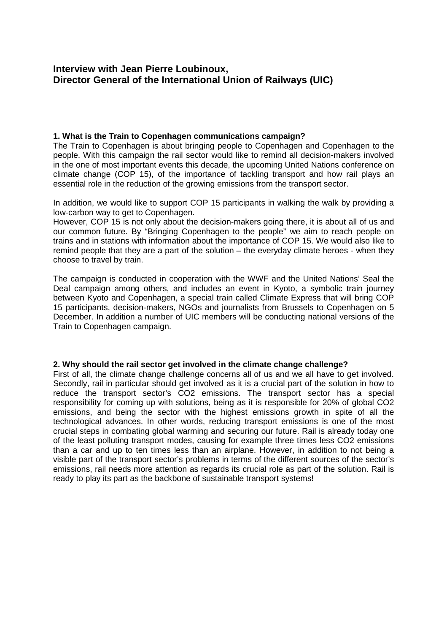# **Interview with Jean Pierre Loubinoux,** **Director General of the International Union of Railways (UIC)**

## **1. What is the Train to Copenhagen communications campaign?**

The Train to Copenhagen is about bringing people to Copenhagen and Copenhagen to the people. With this campaign the rail sector would like to remind all decision-makers involved in the one of most important events this decade, the upcoming United Nations conference on climate change (COP 15), of the importance of tackling transport and how rail plays an essential role in the reduction of the growing emissions from the transport sector.

In addition, we would like to support COP 15 participants in walking the walk by providing a low-carbon way to get to Copenhagen.

However, COP 15 is not only about the decision-makers going there, it is about all of us and our common future. By "Bringing Copenhagen to the people" we aim to reach people on trains and in stations with information about the importance of COP 15. We would also like to remind people that they are a part of the solution – the everyday climate heroes - when they choose to travel by train.

The campaign is conducted in cooperation with the WWF and the United Nations' Seal the Deal campaign among others, and includes an event in Kyoto, a symbolic train journey between Kyoto and Copenhagen, a special train called Climate Express that will bring COP 15 participants, decision-makers, NGOs and journalists from Brussels to Copenhagen on 5 December. In addition a number of UIC members will be conducting national versions of the Train to Copenhagen campaign.

#### **2. Why should the rail sector get involved in the climate change challenge?**

First of all, the climate change challenge concerns all of us and we all have to get involved. Secondly, rail in particular should get involved as it is a crucial part of the solution in how to reduce the transport sector's CO2 emissions. The transport sector has a special responsibility for coming up with solutions, being as it is responsible for 20% of global CO2 emissions, and being the sector with the highest emissions growth in spite of all the technological advances. In other words, reducing transport emissions is one of the most crucial steps in combating global warming and securing our future. Rail is already today one of the least polluting transport modes, causing for example three times less CO2 emissions than a car and up to ten times less than an airplane. However, in addition to not being a visible part of the transport sector's problems in terms of the different sources of the sector's emissions, rail needs more attention as regards its crucial role as part of the solution. Rail is ready to play its part as the backbone of sustainable transport systems!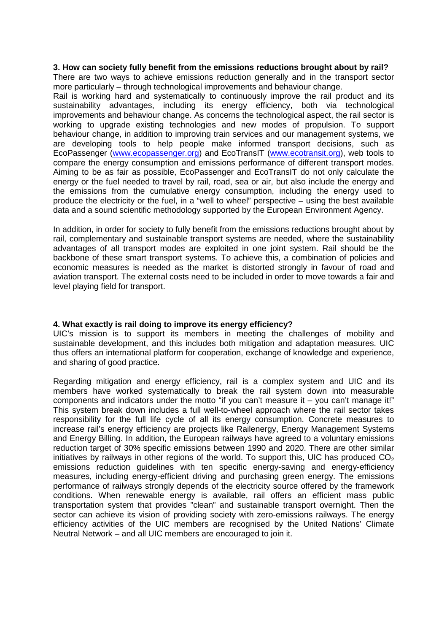# **3. How can society fully benefit from the emissions reductions brought about by rail?**

There are two ways to achieve emissions reduction generally and in the transport sector more particularly – through technological improvements and behaviour change.

Rail is working hard and systematically to continuously improve the rail product and its sustainability advantages, including its energy efficiency, both via technological improvements and behaviour change. As concerns the technological aspect, the rail sector is working to upgrade existing technologies and new modes of propulsion. To support behaviour change, in addition to improving train services and our management systems, we are developing tools to help people make informed transport decisions, such as EcoPassenger (www.ecopassenger.org) and EcoTransIT (www.ecotransit.org), web tools to compare the energy consumption and emissions performance of different transport modes. Aiming to be as fair as possible, EcoPassenger and EcoTransIT do not only calculate the energy or the fuel needed to travel by rail, road, sea or air, but also include the energy and the emissions from the cumulative energy consumption, including the energy used to produce the electricity or the fuel, in a "well to wheel" perspective – using the best available data and a sound scientific methodology supported by the European Environment Agency.

In addition, in order for society to fully benefit from the emissions reductions brought about by rail, complementary and sustainable transport systems are needed, where the sustainability advantages of all transport modes are exploited in one joint system. Rail should be the backbone of these smart transport systems. To achieve this, a combination of policies and economic measures is needed as the market is distorted strongly in favour of road and aviation transport. The external costs need to be included in order to move towards a fair and level playing field for transport.

# **4. What exactly is rail doing to improve its energy efficiency?**

UIC's mission is to support its members in meeting the challenges of mobility and sustainable development, and this includes both mitigation and adaptation measures. UIC thus offers an international platform for cooperation, exchange of knowledge and experience, and sharing of good practice.

Regarding mitigation and energy efficiency, rail is a complex system and UIC and its members have worked systematically to break the rail system down into measurable components and indicators under the motto "if you can't measure it – you can't manage it!" This system break down includes a full well-to-wheel approach where the rail sector takes responsibility for the full life cycle of all its energy consumption. Concrete measures to increase rail's energy efficiency are projects like Railenergy, Energy Management Systems and Energy Billing. In addition, the European railways have agreed to a voluntary emissions reduction target of 30% specific emissions between 1990 and 2020. There are other similar initiatives by railways in other regions of the world. To support this, UIC has produced  $CO<sub>2</sub>$ emissions reduction guidelines with ten specific energy-saving and energy-efficiency measures, including energy-efficient driving and purchasing green energy. The emissions performance of railways strongly depends of the electricity source offered by the framework conditions. When renewable energy is available, rail offers an efficient mass public transportation system that provides "clean" and sustainable transport overnight. Then the sector can achieve its vision of providing society with zero-emissions railways. The energy efficiency activities of the UIC members are recognised by the United Nations' Climate Neutral Network – and all UIC members are encouraged to join it.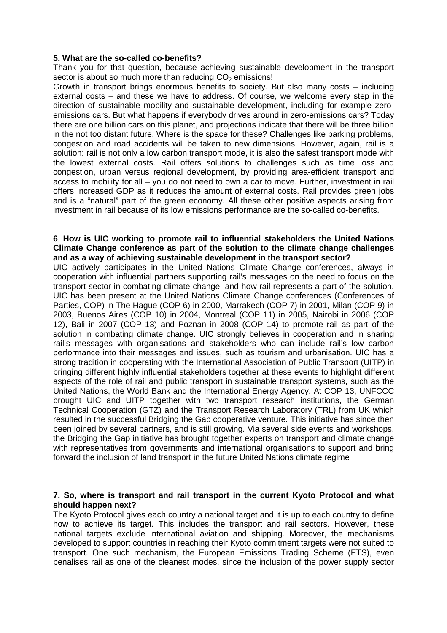### **5. What are the so-called co-benefits?**

Thank you for that question, because achieving sustainable development in the transport sector is about so much more than reducing  $CO<sub>2</sub>$  emissions!

Growth in transport brings enormous benefits to society. But also many costs – including external costs – and these we have to address. Of course, we welcome every step in the direction of sustainable mobility and sustainable development, including for example zeroemissions cars. But what happens if everybody drives around in zero-emissions cars? Today there are one billion cars on this planet, and projections indicate that there will be three billion in the not too distant future. Where is the space for these? Challenges like parking problems, congestion and road accidents will be taken to new dimensions! However, again, rail is a solution: rail is not only a low carbon transport mode, it is also the safest transport mode with the lowest external costs. Rail offers solutions to challenges such as time loss and congestion, urban versus regional development, by providing area-efficient transport and access to mobility for all – you do not need to own a car to move. Further, investment in rail offers increased GDP as it reduces the amount of external costs. Rail provides green jobs and is a "natural" part of the green economy. All these other positive aspects arising from investment in rail because of its low emissions performance are the so-called co-benefits.

## **6**. **How is UIC working to promote rail to influential stakeholders the United Nations Climate Change conference as part of the solution to the climate change challenges and as a way of achieving sustainable development in the transport sector?**

UIC actively participates in the United Nations Climate Change conferences, always in cooperation with influential partners supporting rail's messages on the need to focus on the transport sector in combating climate change, and how rail represents a part of the solution. UIC has been present at the United Nations Climate Change conferences (Conferences of Parties, COP) in The Hague (COP 6) in 2000, Marrakech (COP 7) in 2001, Milan (COP 9) in 2003, Buenos Aires (COP 10) in 2004, Montreal (COP 11) in 2005, Nairobi in 2006 (COP 12), Bali in 2007 (COP 13) and Poznan in 2008 (COP 14) to promote rail as part of the solution in combating climate change. UIC strongly believes in cooperation and in sharing rail's messages with organisations and stakeholders who can include rail's low carbon performance into their messages and issues, such as tourism and urbanisation. UIC has a strong tradition in cooperating with the International Association of Public Transport (UITP) in bringing different highly influential stakeholders together at these events to highlight different aspects of the role of rail and public transport in sustainable transport systems, such as the United Nations, the World Bank and the International Energy Agency. At COP 13, UNFCCC brought UIC and UITP together with two transport research institutions, the German Technical Cooperation (GTZ) and the Transport Research Laboratory (TRL) from UK which resulted in the successful Bridging the Gap cooperative venture. This initiative has since then been joined by several partners, and is still growing. Via several side events and workshops, the Bridging the Gap initiative has brought together experts on transport and climate change with representatives from governments and international organisations to support and bring forward the inclusion of land transport in the future United Nations climate regime .

### **7. So, where is transport and rail transport in the current Kyoto Protocol and what should happen next?**

The Kyoto Protocol gives each country a national target and it is up to each country to define how to achieve its target. This includes the transport and rail sectors. However, these national targets exclude international aviation and shipping. Moreover, the mechanisms developed to support countries in reaching their Kyoto commitment targets were not suited to transport. One such mechanism, the European Emissions Trading Scheme (ETS), even penalises rail as one of the cleanest modes, since the inclusion of the power supply sector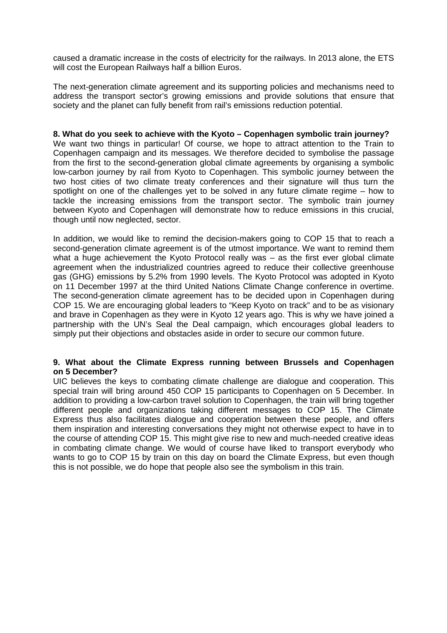caused a dramatic increase in the costs of electricity for the railways. In 2013 alone, the ETS will cost the European Railways half a billion Euros.

The next-generation climate agreement and its supporting policies and mechanisms need to address the transport sector's growing emissions and provide solutions that ensure that society and the planet can fully benefit from rail's emissions reduction potential.

#### **8. What do you seek to achieve with the Kyoto – Copenhagen symbolic train journey?**

We want two things in particular! Of course, we hope to attract attention to the Train to Copenhagen campaign and its messages. We therefore decided to symbolise the passage from the first to the second-generation global climate agreements by organising a symbolic low-carbon journey by rail from Kyoto to Copenhagen. This symbolic journey between the two host cities of two climate treaty conferences and their signature will thus turn the spotlight on one of the challenges yet to be solved in any future climate regime – how to tackle the increasing emissions from the transport sector. The symbolic train journey between Kyoto and Copenhagen will demonstrate how to reduce emissions in this crucial, though until now neglected, sector.

In addition, we would like to remind the decision-makers going to COP 15 that to reach a second-generation climate agreement is of the utmost importance. We want to remind them what a huge achievement the Kyoto Protocol really was - as the first ever global climate agreement when the industrialized countries agreed to reduce their collective greenhouse gas (GHG) emissions by 5.2% from 1990 levels. The Kyoto Protocol was adopted in Kyoto on 11 December 1997 at the third United Nations Climate Change conference in overtime. The second-generation climate agreement has to be decided upon in Copenhagen during COP 15. We are encouraging global leaders to "Keep Kyoto on track" and to be as visionary and brave in Copenhagen as they were in Kyoto 12 years ago. This is why we have joined a partnership with the UN's Seal the Deal campaign, which encourages global leaders to simply put their objections and obstacles aside in order to secure our common future.

### **9. What about the Climate Express running between Brussels and Copenhagen on 5 December?**

UIC believes the keys to combating climate challenge are dialogue and cooperation. This special train will bring around 450 COP 15 participants to Copenhagen on 5 December. In addition to providing a low-carbon travel solution to Copenhagen, the train will bring together different people and organizations taking different messages to COP 15. The Climate Express thus also facilitates dialogue and cooperation between these people, and offers them inspiration and interesting conversations they might not otherwise expect to have in to the course of attending COP 15. This might give rise to new and much-needed creative ideas in combating climate change. We would of course have liked to transport everybody who wants to go to COP 15 by train on this day on board the Climate Express, but even though this is not possible, we do hope that people also see the symbolism in this train.